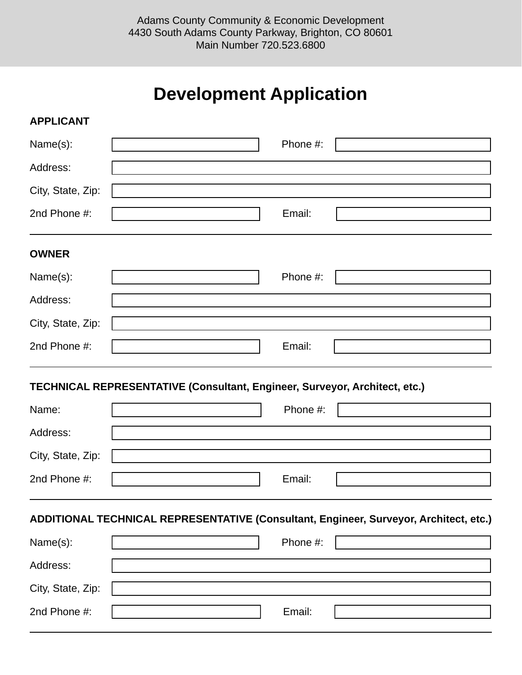## **Development Application**

| <b>APPLICANT</b>                                                           |  |          |                                                                                       |  |  |  |
|----------------------------------------------------------------------------|--|----------|---------------------------------------------------------------------------------------|--|--|--|
| Name(s):                                                                   |  | Phone #: |                                                                                       |  |  |  |
| Address:                                                                   |  |          |                                                                                       |  |  |  |
| City, State, Zip:                                                          |  |          |                                                                                       |  |  |  |
| 2nd Phone #:                                                               |  | Email:   |                                                                                       |  |  |  |
| <b>OWNER</b>                                                               |  |          |                                                                                       |  |  |  |
| Name(s):                                                                   |  | Phone #: |                                                                                       |  |  |  |
| Address:                                                                   |  |          |                                                                                       |  |  |  |
| City, State, Zip:                                                          |  |          |                                                                                       |  |  |  |
| 2nd Phone #:                                                               |  | Email:   |                                                                                       |  |  |  |
| TECHNICAL REPRESENTATIVE (Consultant, Engineer, Surveyor, Architect, etc.) |  |          |                                                                                       |  |  |  |
|                                                                            |  |          |                                                                                       |  |  |  |
| Name:                                                                      |  | Phone #: |                                                                                       |  |  |  |
| Address:                                                                   |  |          |                                                                                       |  |  |  |
| City, State, Zip:                                                          |  |          |                                                                                       |  |  |  |
| 2nd Phone #:                                                               |  | Email:   |                                                                                       |  |  |  |
|                                                                            |  |          | ADDITIONAL TECHNICAL REPRESENTATIVE (Consultant, Engineer, Surveyor, Architect, etc.) |  |  |  |
| Name(s):                                                                   |  | Phone #: |                                                                                       |  |  |  |
| Address:                                                                   |  |          |                                                                                       |  |  |  |
| City, State, Zip:                                                          |  |          |                                                                                       |  |  |  |